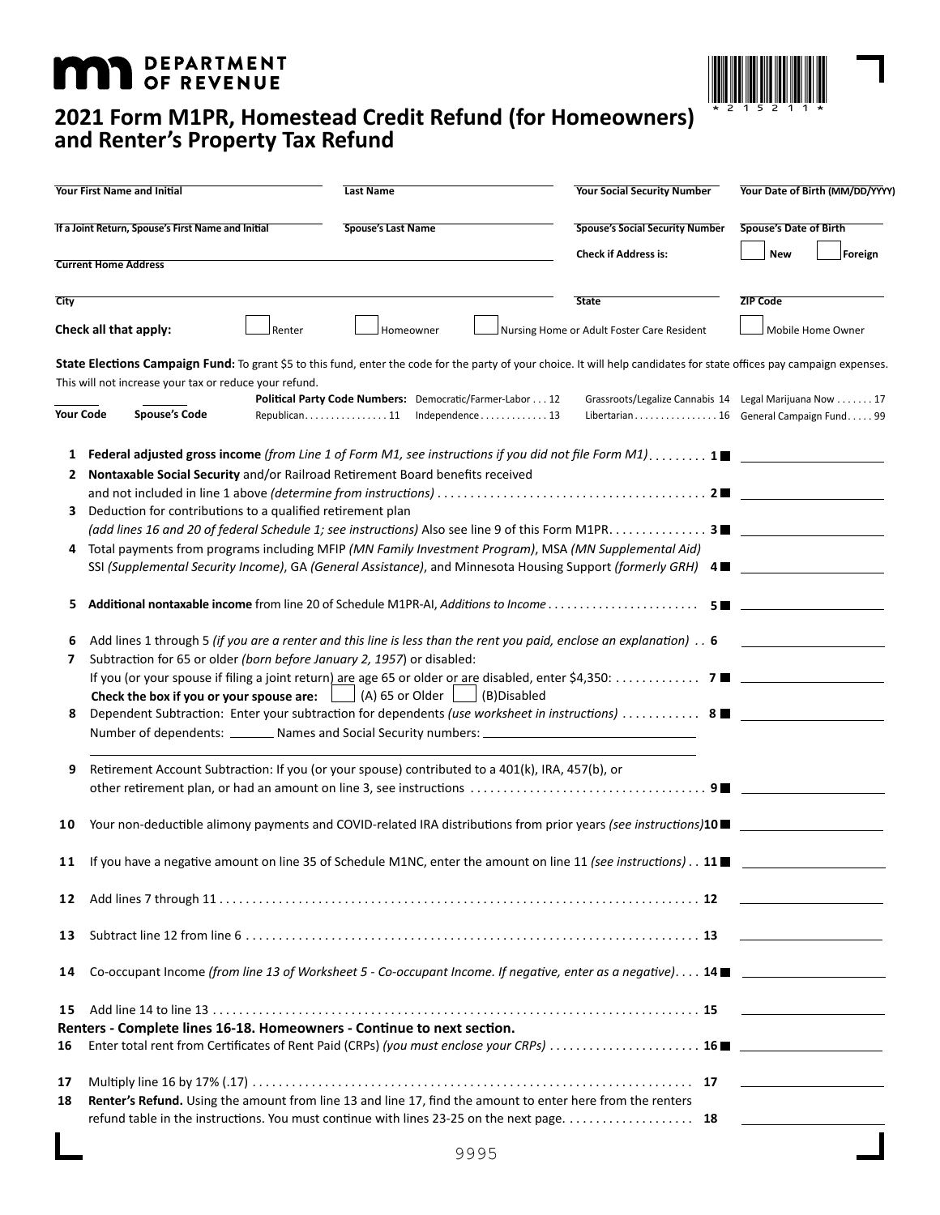## **MAT DEPARTMENT**



## **2021 Form M1PR, Homestead Credit Refund (for Homeowners) and Renter's Property Tax Refund**

| <b>Your First Name and Initial</b>                 |                                                                                                                                                                                                                                                                                                                                                                                                                                                                                                                                                                                                                                                                                                                                                                                                                                                                                                                                                                                                                                                            | <b>Last Name</b>                                                                           |             | <b>Your Social Security Number</b>                                                                | Your Date of Birth (MM/DD/YYYY) |                                              |
|----------------------------------------------------|------------------------------------------------------------------------------------------------------------------------------------------------------------------------------------------------------------------------------------------------------------------------------------------------------------------------------------------------------------------------------------------------------------------------------------------------------------------------------------------------------------------------------------------------------------------------------------------------------------------------------------------------------------------------------------------------------------------------------------------------------------------------------------------------------------------------------------------------------------------------------------------------------------------------------------------------------------------------------------------------------------------------------------------------------------|--------------------------------------------------------------------------------------------|-------------|---------------------------------------------------------------------------------------------------|---------------------------------|----------------------------------------------|
| If a Joint Return, Spouse's First Name and Initial |                                                                                                                                                                                                                                                                                                                                                                                                                                                                                                                                                                                                                                                                                                                                                                                                                                                                                                                                                                                                                                                            | <b>Spouse's Last Name</b>                                                                  |             | <b>Spouse's Social Security Number</b>                                                            | <b>Spouse's Date of Birth</b>   |                                              |
|                                                    | <b>Current Home Address</b>                                                                                                                                                                                                                                                                                                                                                                                                                                                                                                                                                                                                                                                                                                                                                                                                                                                                                                                                                                                                                                |                                                                                            |             | <b>Check if Address is:</b>                                                                       | <b>New</b>                      | Foreign                                      |
| <b>City</b>                                        |                                                                                                                                                                                                                                                                                                                                                                                                                                                                                                                                                                                                                                                                                                                                                                                                                                                                                                                                                                                                                                                            |                                                                                            |             | <b>State</b>                                                                                      | <b>ZIP Code</b>                 |                                              |
|                                                    | Check all that apply:<br>Renter                                                                                                                                                                                                                                                                                                                                                                                                                                                                                                                                                                                                                                                                                                                                                                                                                                                                                                                                                                                                                            | Homeowner                                                                                  |             | Nursing Home or Adult Foster Care Resident                                                        |                                 | Mobile Home Owner                            |
|                                                    | State Elections Campaign Fund: To grant \$5 to this fund, enter the code for the party of your choice. It will help candidates for state offices pay campaign expenses.                                                                                                                                                                                                                                                                                                                                                                                                                                                                                                                                                                                                                                                                                                                                                                                                                                                                                    |                                                                                            |             |                                                                                                   |                                 |                                              |
|                                                    | This will not increase your tax or reduce your refund.<br><b>Your Code</b><br><b>Spouse's Code</b>                                                                                                                                                                                                                                                                                                                                                                                                                                                                                                                                                                                                                                                                                                                                                                                                                                                                                                                                                         | Political Party Code Numbers: Democratic/Farmer-Labor 12<br>Republican. 11 Independence 13 |             | Grassroots/Legalize Cannabis 14 Legal Marijuana Now 17<br>Libertarian 16 General Campaign Fund 99 |                                 |                                              |
| 1<br>2<br>3<br>4<br>5<br>6<br>7<br>8               | Federal adjusted gross income (from Line 1 of Form M1, see instructions if you did not file Form M1). 1<br>Nontaxable Social Security and/or Railroad Retirement Board benefits received<br>Deduction for contributions to a qualified retirement plan<br>(add lines 16 and 20 of federal Schedule 1; see instructions) Also see line 9 of this Form M1PR. 3■<br>Total payments from programs including MFIP (MN Family Investment Program), MSA (MN Supplemental Aid)<br>SSI (Supplemental Security Income), GA (General Assistance), and Minnesota Housing Support (formerly GRH) 4■<br>Add lines 1 through 5 (if you are a renter and this line is less than the rent you paid, enclose an explanation). $.6$<br>Subtraction for 65 or older (born before January 2, 1957) or disabled:<br>Check the box if you or your spouse are: $\vert$<br>Dependent Subtraction: Enter your subtraction for dependents (use worksheet in instructions)  8 ■<br>Number of dependents: ________ Names and Social Security numbers: _________________________________ | $\Box$ (A) 65 or Older $\vert$                                                             | (B)Disabled |                                                                                                   |                                 |                                              |
| 9                                                  | Retirement Account Subtraction: If you (or your spouse) contributed to a 401(k), IRA, 457(b), or                                                                                                                                                                                                                                                                                                                                                                                                                                                                                                                                                                                                                                                                                                                                                                                                                                                                                                                                                           |                                                                                            |             |                                                                                                   |                                 |                                              |
| 10                                                 | Your non-deductible alimony payments and COVID-related IRA distributions from prior years (see instructions)10 ■                                                                                                                                                                                                                                                                                                                                                                                                                                                                                                                                                                                                                                                                                                                                                                                                                                                                                                                                           |                                                                                            |             |                                                                                                   |                                 |                                              |
| 11                                                 | If you have a negative amount on line 35 of Schedule M1NC, enter the amount on line 11 (see instructions). $\therefore$ 11                                                                                                                                                                                                                                                                                                                                                                                                                                                                                                                                                                                                                                                                                                                                                                                                                                                                                                                                 |                                                                                            |             |                                                                                                   |                                 |                                              |
| 12                                                 |                                                                                                                                                                                                                                                                                                                                                                                                                                                                                                                                                                                                                                                                                                                                                                                                                                                                                                                                                                                                                                                            |                                                                                            |             |                                                                                                   |                                 |                                              |
| 13                                                 |                                                                                                                                                                                                                                                                                                                                                                                                                                                                                                                                                                                                                                                                                                                                                                                                                                                                                                                                                                                                                                                            |                                                                                            |             |                                                                                                   |                                 | the company of the company of the company of |
| 14                                                 | Co-occupant Income (from line 13 of Worksheet 5 - Co-occupant Income. If negative, enter as a negative) 14                                                                                                                                                                                                                                                                                                                                                                                                                                                                                                                                                                                                                                                                                                                                                                                                                                                                                                                                                 |                                                                                            |             |                                                                                                   |                                 |                                              |
| 15<br>16                                           | Renters - Complete lines 16-18. Homeowners - Continue to next section.                                                                                                                                                                                                                                                                                                                                                                                                                                                                                                                                                                                                                                                                                                                                                                                                                                                                                                                                                                                     |                                                                                            |             |                                                                                                   |                                 |                                              |
| 17<br>18                                           | Renter's Refund. Using the amount from line 13 and line 17, find the amount to enter here from the renters<br>refund table in the instructions. You must continue with lines 23-25 on the next page. 18                                                                                                                                                                                                                                                                                                                                                                                                                                                                                                                                                                                                                                                                                                                                                                                                                                                    |                                                                                            |             |                                                                                                   |                                 |                                              |
|                                                    |                                                                                                                                                                                                                                                                                                                                                                                                                                                                                                                                                                                                                                                                                                                                                                                                                                                                                                                                                                                                                                                            |                                                                                            | 9995        |                                                                                                   |                                 |                                              |